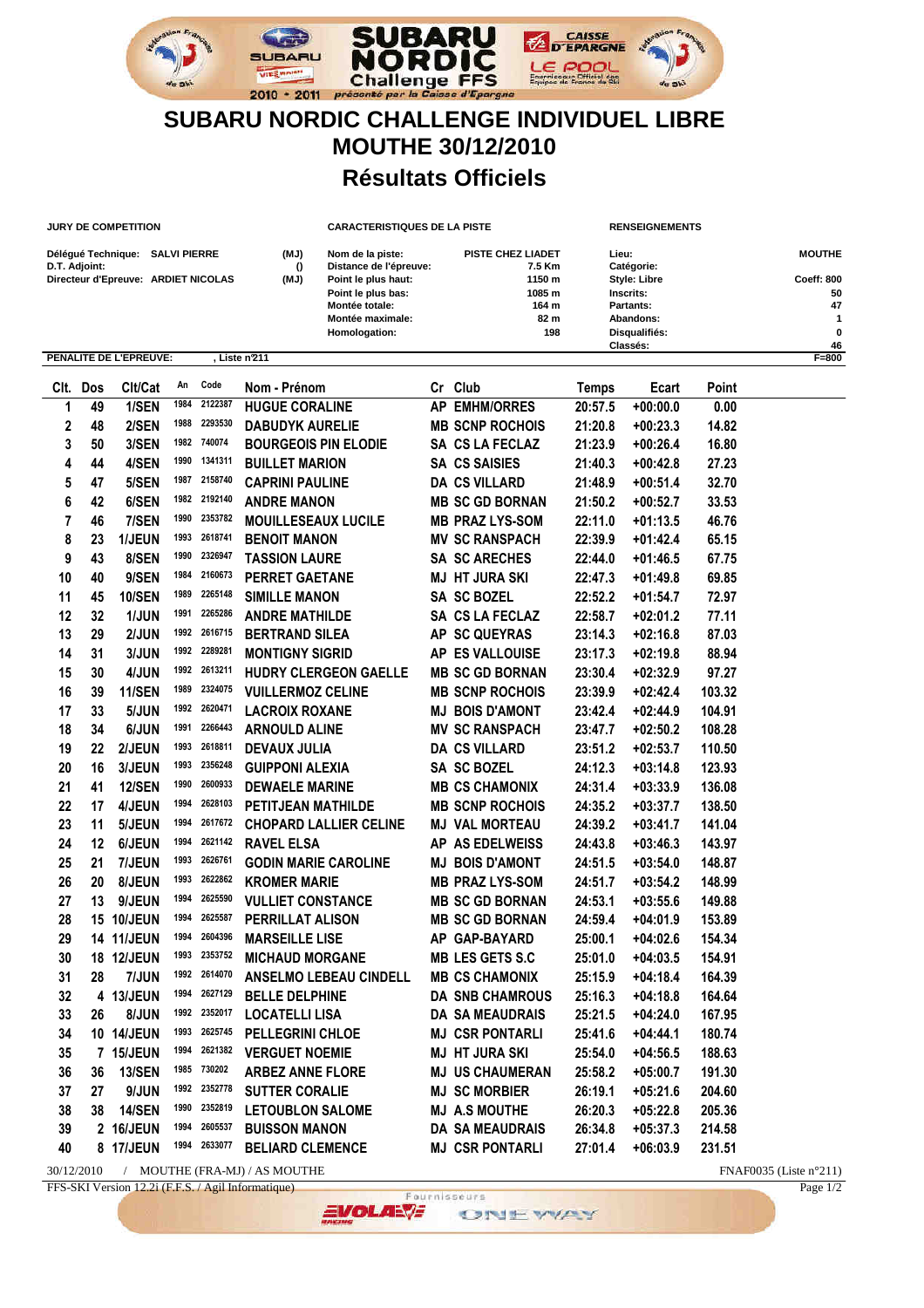

## **SUBARU NORDIC CHALLENGE INDIVIDUEL LIBRE MOUTHE 30/12/2010 Résultats Officiels**

|      |               | <b>JURY DE COMPETITION</b>          |      |              |                             | <b>CARACTERISTIQUES DE LA PISTE</b>        |    |                             |                  |              | <b>RENSEIGNEMENTS</b>      |        |                  |  |
|------|---------------|-------------------------------------|------|--------------|-----------------------------|--------------------------------------------|----|-----------------------------|------------------|--------------|----------------------------|--------|------------------|--|
|      | D.T. Adjoint: | Délégué Technique: SALVI PIERRE     |      |              | (MJ)<br>$\Omega$            | Nom de la piste:<br>Distance de l'épreuve: |    | PISTE CHEZ LIADET<br>7.5 Km |                  |              | Lieu:<br>Catégorie:        |        | <b>MOUTHE</b>    |  |
|      |               | Directeur d'Epreuve: ARDIET NICOLAS |      |              | (MJ)                        | Point le plus haut:<br>Point le plus bas:  |    |                             | 1150 m<br>1085 m |              | Style: Libre<br>Inscrits:  |        | Coeff: 800<br>50 |  |
|      |               |                                     |      |              |                             | <b>Montée totale:</b>                      |    |                             | 164 m            |              | Partants:                  |        | 47               |  |
|      |               |                                     |      |              |                             | Montée maximale:<br>Homologation:          |    | 82 m<br>198                 |                  |              | Abandons:<br>Disqualifiés: |        | 1<br>0           |  |
|      |               |                                     |      |              |                             |                                            |    |                             |                  | Classés:     |                            |        | 46               |  |
|      |               | PENALITE DE L'EPREUVE:              |      |              | Liste n'211                 |                                            |    |                             |                  |              |                            |        | $F = 800$        |  |
| CIt. | Dos           | Clt/Cat                             | An   | Code         | Nom - Prénom                |                                            |    | Cr Club                     |                  | <b>Temps</b> | Ecart                      | Point  |                  |  |
| 1    | 49            | 1/SEN                               | 1984 | 2122387      | <b>HUGUE CORALINE</b>       |                                            |    | <b>AP EMHM/ORRES</b>        |                  | 20:57.5      | $+00:00.0$                 | 0.00   |                  |  |
| 2    | 48            | 2/SEN                               | 1988 | 2293530      | <b>DABUDYK AURELIE</b>      |                                            |    | <b>MB SCNP ROCHOIS</b>      |                  | 21:20.8      | $+00:23.3$                 | 14.82  |                  |  |
| 3    | 50            | 3/SEN                               | 1982 | 740074       | <b>BOURGEOIS PIN ELODIE</b> |                                            |    | SA CS LA FECLAZ             |                  | 21:23.9      | $+00:26.4$                 | 16.80  |                  |  |
| 4    | 44            | 4/SEN                               | 1990 | 1341311      | <b>BUILLET MARION</b>       |                                            |    | <b>SA CS SAISIES</b>        |                  | 21:40.3      | $+00:42.8$                 | 27.23  |                  |  |
| 5    | 47            | 5/SEN                               | 1987 | 2158740      | <b>CAPRINI PAULINE</b>      |                                            |    | <b>DA CS VILLARD</b>        |                  | 21:48.9      | $+00:51.4$                 | 32.70  |                  |  |
| 6    | 42            | 6/SEN                               | 1982 | 2192140      | <b>ANDRE MANON</b>          |                                            |    | <b>MB SC GD BORNAN</b>      |                  | 21:50.2      | $+00:52.7$                 | 33.53  |                  |  |
| 7    | 46            | 7/SEN                               | 1990 | 2353782      | <b>MOUILLESEAUX LUCILE</b>  |                                            |    | <b>MB PRAZ LYS-SOM</b>      |                  | 22:11.0      | $+01:13.5$                 | 46.76  |                  |  |
| 8    | 23            | 1/JEUN                              | 1993 | 2618741      | <b>BENOIT MANON</b>         |                                            |    | <b>MV SC RANSPACH</b>       |                  | 22:39.9      | $+01:42.4$                 | 65.15  |                  |  |
| 9    | 43            | 8/SEN                               | 1990 | 2326947      | <b>TASSION LAURE</b>        |                                            |    | <b>SA SC ARECHES</b>        |                  | 22:44.0      | $+01:46.5$                 | 67.75  |                  |  |
| 10   | 40            | 9/SEN                               | 1984 | 2160673      | <b>PERRET GAETANE</b>       |                                            |    | <b>MJ HT JURA SKI</b>       |                  | 22:47.3      | $+01:49.8$                 | 69.85  |                  |  |
| 11   | 45            | <b>10/SEN</b>                       | 1989 | 2265148      | <b>SIMILLE MANON</b>        |                                            |    | <b>SA SC BOZEL</b>          |                  | 22:52.2      | $+01:54.7$                 | 72.97  |                  |  |
| 12   | 32            | 1/JUN                               | 1991 | 2265286      | <b>ANDRE MATHILDE</b>       |                                            |    | SA CS LA FECLAZ             |                  | 22:58.7      | $+02:01.2$                 | 77.11  |                  |  |
| 13   | 29            | 2/JUN                               | 1992 | 2616715      | <b>BERTRAND SILEA</b>       |                                            | ΑP | <b>SC QUEYRAS</b>           |                  | 23:14.3      | $+02:16.8$                 | 87.03  |                  |  |
| 14   | 31            | 3/JUN                               | 1992 | 2289281      | <b>MONTIGNY SIGRID</b>      |                                            |    | AP ES VALLOUISE             |                  | 23:17.3      | $+02:19.8$                 | 88.94  |                  |  |
| 15   | 30            | 4/JUN                               | 1992 | 2613211      |                             | HUDRY CLERGEON GAELLE                      |    | <b>MB SC GD BORNAN</b>      |                  | 23:30.4      | $+02:32.9$                 | 97.27  |                  |  |
| 16   | 39            | <b>11/SEN</b>                       | 1989 | 2324075      | <b>VUILLERMOZ CELINE</b>    |                                            |    | <b>MB SCNP ROCHOIS</b>      |                  | 23:39.9      | $+02:42.4$                 | 103.32 |                  |  |
| 17   | 33            | 5/JUN                               | 1992 | 2620471      | <b>LACROIX ROXANE</b>       |                                            |    | <b>MJ BOIS D'AMONT</b>      |                  | 23:42.4      | $+02:44.9$                 | 104.91 |                  |  |
| 18   | 34            | 6/JUN                               | 1991 | 2266443      | <b>ARNOULD ALINE</b>        |                                            |    | <b>MV SC RANSPACH</b>       |                  | 23:47.7      | $+02:50.2$                 | 108.28 |                  |  |
| 19   | 22            | 2/JEUN                              | 1993 | 2618811      | <b>DEVAUX JULIA</b>         |                                            |    | <b>DA CS VILLARD</b>        |                  | 23:51.2      | $+02:53.7$                 | 110.50 |                  |  |
| 20   | 16            | 3/JEUN                              | 1993 | 2356248      | <b>GUIPPONI ALEXIA</b>      |                                            |    | <b>SA SC BOZEL</b>          |                  | 24:12.3      | $+03:14.8$                 | 123.93 |                  |  |
| 21   | 41            | <b>12/SEN</b>                       | 1990 | 2600933      | <b>DEWAELE MARINE</b>       |                                            |    | <b>MB CS CHAMONIX</b>       |                  | 24:31.4      | $+03:33.9$                 | 136.08 |                  |  |
| 22   | 17            | 4/JEUN                              | 1994 | 2628103      | PETITJEAN MATHILDE          |                                            |    | <b>MB SCNP ROCHOIS</b>      |                  | 24:35.2      | $+03:37.7$                 | 138.50 |                  |  |
| 23   | 11            | 5/JEUN                              | 1994 | 2617672      |                             | <b>CHOPARD LALLIER CELINE</b>              |    | <b>MJ VAL MORTEAU</b>       |                  | 24:39.2      | $+03:41.7$                 | 141.04 |                  |  |
|      |               |                                     | 1994 | 2621142      |                             |                                            |    |                             |                  |              |                            |        |                  |  |
| 24   | 12            | 6/JEUN                              | 1993 | 2626761      | <b>RAVEL ELSA</b>           |                                            |    | AP AS EDELWEISS             |                  | 24:43.8      | $+03:46.3$                 | 143.97 |                  |  |
| 25   | 21            | 7/JEUN                              | 1993 | 2622862      | <b>GODIN MARIE CAROLINE</b> |                                            | MJ | <b>BOIS D'AMONT</b>         |                  | 24:51.5      | $+03:54.0$                 | 148.87 |                  |  |
| 26   | 20            | 8/JEUN                              | 1994 | 2625590      | <b>KROMER MARIE</b>         |                                            |    | <b>MB PRAZ LYS-SOM</b>      |                  | 24:51.7      | $+03:54.2$                 | 148.99 |                  |  |
| 27   | 13            | 9/JEUN                              | 1994 | 2625587      | <b>VULLIET CONSTANCE</b>    |                                            |    | <b>MB SC GD BORNAN</b>      |                  | 24:53.1      | $+03:55.6$                 | 149.88 |                  |  |
| 28   |               | 15 10/JEUN                          |      |              | PERRILLAT ALISON            |                                            |    | <b>MB SC GD BORNAN</b>      |                  | 24:59.4      | $+04:01.9$                 | 153.89 |                  |  |
| 29   |               | 14 11/JEUN                          | 1994 | 2604396      | <b>MARSEILLE LISE</b>       |                                            |    | AP GAP-BAYARD               |                  | 25:00.1      | $+04:02.6$                 | 154.34 |                  |  |
| 30   |               | 18 12/JEUN                          |      | 1993 2353752 | <b>MICHAUD MORGANE</b>      |                                            |    | <b>MB LES GETS S.C</b>      |                  | 25:01.0      | $+04:03.5$                 | 154.91 |                  |  |
| 31   | 28            | 7/JUN                               |      | 1992 2614070 |                             | <b>ANSELMO LEBEAU CINDELL</b>              |    | <b>MB CS CHAMONIX</b>       |                  | 25:15.9      | $+04:18.4$                 | 164.39 |                  |  |
| 32   |               | 4 13/JEUN                           |      | 1994 2627129 | <b>BELLE DELPHINE</b>       |                                            |    | <b>DA SNB CHAMROUS</b>      |                  | 25:16.3      | $+04:18.8$                 | 164.64 |                  |  |
| 33   | 26            | 8/JUN                               | 1992 | 2352017      | <b>LOCATELLI LISA</b>       |                                            |    | <b>DA SA MEAUDRAIS</b>      |                  | 25:21.5      | $+04:24.0$                 | 167.95 |                  |  |
| 34   |               | 10 14/JEUN                          | 1993 | 2625745      | <b>PELLEGRINI CHLOE</b>     |                                            |    | <b>MJ CSR PONTARLI</b>      |                  | 25:41.6      | $+04:44.1$                 | 180.74 |                  |  |
| 35   |               | 7 15/JEUN                           | 1994 | 2621382      | <b>VERGUET NOEMIE</b>       |                                            |    | <b>MJ HT JURA SKI</b>       |                  | 25:54.0      | $+04:56.5$                 | 188.63 |                  |  |
| 36   | 36            | <b>13/SEN</b>                       | 1985 | 730202       | <b>ARBEZ ANNE FLORE</b>     |                                            |    | <b>MJ US CHAUMERAN</b>      |                  | 25:58.2      | $+05:00.7$                 | 191.30 |                  |  |
| 37   | 27            | 9/JUN                               | 1992 | 2352778      | <b>SUTTER CORALIE</b>       |                                            |    | <b>MJ SC MORBIER</b>        |                  | 26:19.1      | $+05:21.6$                 | 204.60 |                  |  |
| 38   | 38            | <b>14/SEN</b>                       | 1990 | 2352819      | <b>LETOUBLON SALOME</b>     |                                            |    | <b>MJ A.S MOUTHE</b>        |                  | 26:20.3      | $+05:22.8$                 | 205.36 |                  |  |
| 39   |               | 2 16/JEUN                           | 1994 | 2605537      | <b>BUISSON MANON</b>        |                                            |    | <b>DA SA MEAUDRAIS</b>      |                  | 26:34.8      | $+05:37.3$                 | 214.58 |                  |  |
| 40   |               | 8 17/JEUN                           | 1994 | 2633077      | <b>BELIARD CLEMENCE</b>     |                                            |    | <b>MJ CSR PONTARLI</b>      |                  | 27:01.4      | $+06:03.9$                 | 231.51 |                  |  |

30/12/2010 / MOUTHE (FRA-MJ) / AS MOUTHE <br>FFS-SKI Version 12.2i (F.F.S. / Agil Informatique) Page 1/2